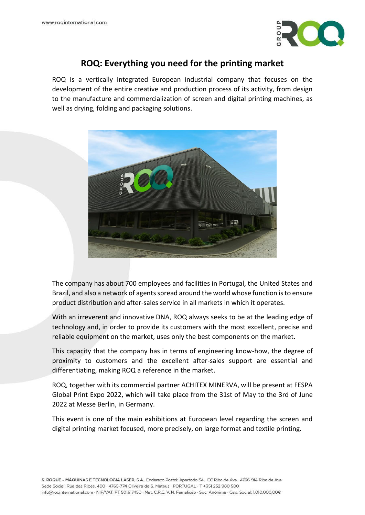

## **ROQ: Everything you need for the printing market**

ROQ is a vertically integrated European industrial company that focuses on the development of the entire creative and production process of its activity, from design to the manufacture and commercialization of screen and digital printing machines, as well as drying, folding and packaging solutions.



The company has about 700 employees and facilities in Portugal, the United States and Brazil, and also a network of agents spread around the world whose function is to ensure product distribution and after-sales service in all markets in which it operates.

With an irreverent and innovative DNA, ROQ always seeks to be at the leading edge of technology and, in order to provide its customers with the most excellent, precise and reliable equipment on the market, uses only the best components on the market.

This capacity that the company has in terms of engineering know-how, the degree of proximity to customers and the excellent after-sales support are essential and differentiating, making ROQ a reference in the market.

ROQ, together with its commercial partner ACHITEX MINERVA, will be present at FESPA Global Print Expo 2022, which will take place from the 31st of May to the 3rd of June 2022 at Messe Berlin, in Germany.

This event is one of the main exhibitions at European level regarding the screen and digital printing market focused, more precisely, on large format and textile printing.